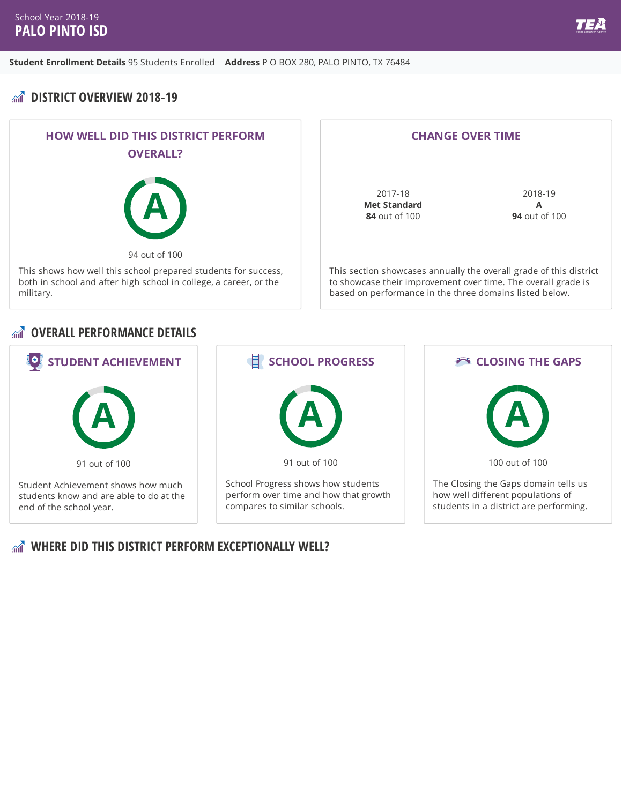# **DISTRICT OVERVIEW 2018-19**





### *<b>OVERALL PERFORMANCE DETAILS*



### **WHERE DID THIS DISTRICT PERFORM EXCEPTIONALLY WELL?**